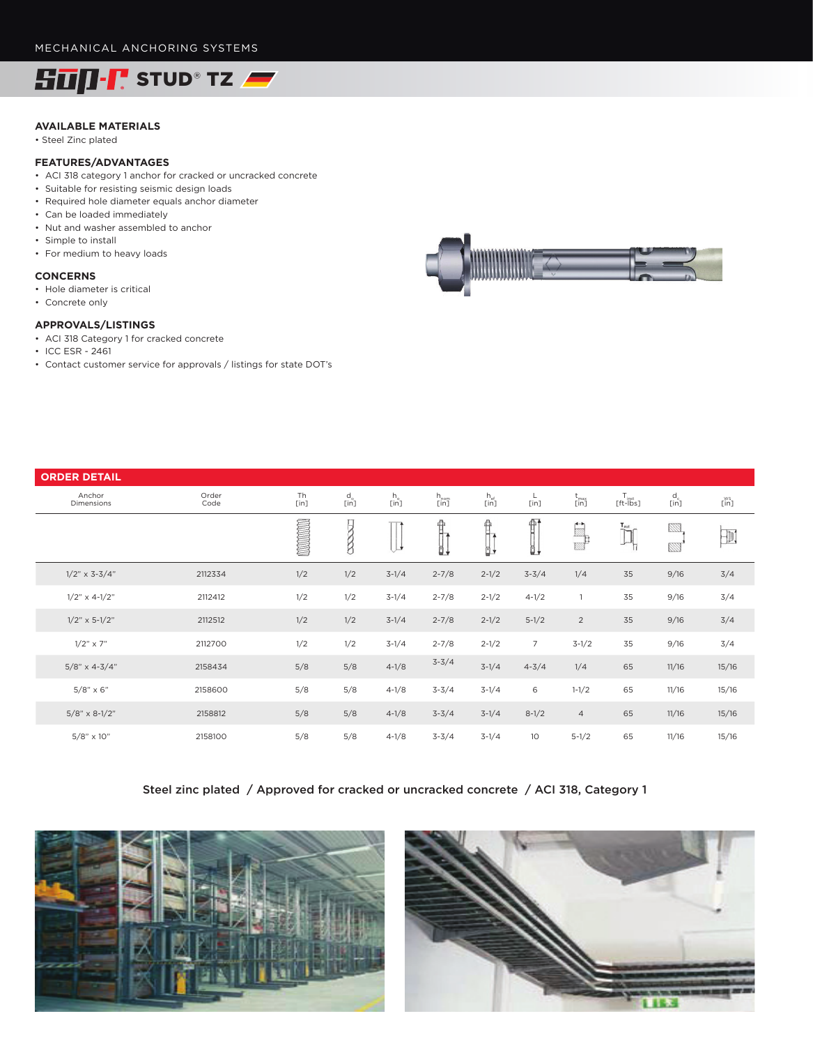

# **AVAILABLE MATERIALS**

• Steel Zinc plated

## **FEATURES/ADVANTAGES**

- ACI 318 category 1 anchor for cracked or uncracked concrete
- Suitable for resisting seismic design loads
- Required hole diameter equals anchor diameter
- Can be loaded immediately
- Nut and washer assembled to anchor
- Simple to install
- For medium to heavy loads

#### **CONCERNS**

- Hole diameter is critical
- Concrete only

### **APPROVALS/LISTINGS**

- ACI 318 Category 1 for cracked concrete
- ICC ESR 2461
- Contact customer service for approvals / listings for state DOT's



| <b>ORDER DETAIL</b>     |               |               |                                                                                |                    |           |                      |                                    |                |                                                |                                            |                                                   |
|-------------------------|---------------|---------------|--------------------------------------------------------------------------------|--------------------|-----------|----------------------|------------------------------------|----------------|------------------------------------------------|--------------------------------------------|---------------------------------------------------|
| Anchor<br>Dimensions    | Order<br>Code | Th<br>$[$ in] | $\begin{smallmatrix} \mathsf{d} \ \mathsf{c} \ \mathsf{lin} \end{smallmatrix}$ | $\frac{h_o}{[in]}$ | h<br>[in] | $h_{\text{ef}}$ [in] | $\frac{\mathsf{L}}{\mathsf{[in]}}$ | t<br>[in]      | $T_{\text{left-}}$ [ft- $\hat{\mathsf{h}}$ st] | $\begin{array}{c} d_c \\ [in] \end{array}$ | $\widetilde{\mathsf{L}}^\mathsf{WS}_{\mathsf{I}}$ |
|                         |               |               | 2000                                                                           |                    | 骨<br>Ö.   | 伜<br>Ö,              | f<br>Ō,                            | $\mathbb{R}$   | $T_{ext}$<br>ĨĨ                                | 223<br>20                                  | $\exists$                                         |
| $1/2$ " x 3-3/4"        | 2112334       | 1/2           | 1/2                                                                            | $3-1/4$            | $2 - 7/8$ | $2 - 1/2$            | $3 - 3/4$                          | 1/4            | 35                                             | 9/16                                       | 3/4                                               |
| $1/2$ " $\times$ 4-1/2" | 2112412       | 1/2           | 1/2                                                                            | $3-1/4$            | $2 - 7/8$ | $2 - 1/2$            | $4 - 1/2$                          | $\overline{1}$ | 35                                             | 9/16                                       | 3/4                                               |
| $1/2$ " x 5-1/2"        | 2112512       | 1/2           | 1/2                                                                            | $3-1/4$            | $2 - 7/8$ | $2 - 1/2$            | $5 - 1/2$                          | $\overline{2}$ | 35                                             | 9/16                                       | 3/4                                               |
| $1/2" \times 7"$        | 2112700       | 1/2           | 1/2                                                                            | $3-1/4$            | $2 - 7/8$ | $2 - 1/2$            | $\overline{7}$                     | $3-1/2$        | 35                                             | 9/16                                       | 3/4                                               |
| $5/8$ " x 4-3/4"        | 2158434       | 5/8           | 5/8                                                                            | $4 - 1/8$          | $3 - 3/4$ | $3-1/4$              | $4 - 3/4$                          | 1/4            | 65                                             | 11/16                                      | 15/16                                             |
| $5/8" \times 6"$        | 2158600       | 5/8           | 5/8                                                                            | $4 - 1/8$          | $3 - 3/4$ | $3-1/4$              | 6                                  | $1 - 1/2$      | 65                                             | 11/16                                      | 15/16                                             |
| $5/8$ " x 8-1/2"        | 2158812       | 5/8           | 5/8                                                                            | $4 - 1/8$          | $3 - 3/4$ | $3-1/4$              | $8-1/2$                            | $\overline{a}$ | 65                                             | 11/16                                      | 15/16                                             |
| $5/8" \times 10"$       | 2158100       | 5/8           | 5/8                                                                            | $4 - 1/8$          | $3 - 3/4$ | $3-1/4$              | 10                                 | $5 - 1/2$      | 65                                             | 11/16                                      | 15/16                                             |

## Steel zinc plated / Approved for cracked or uncracked concrete / ACI 318, Category 1